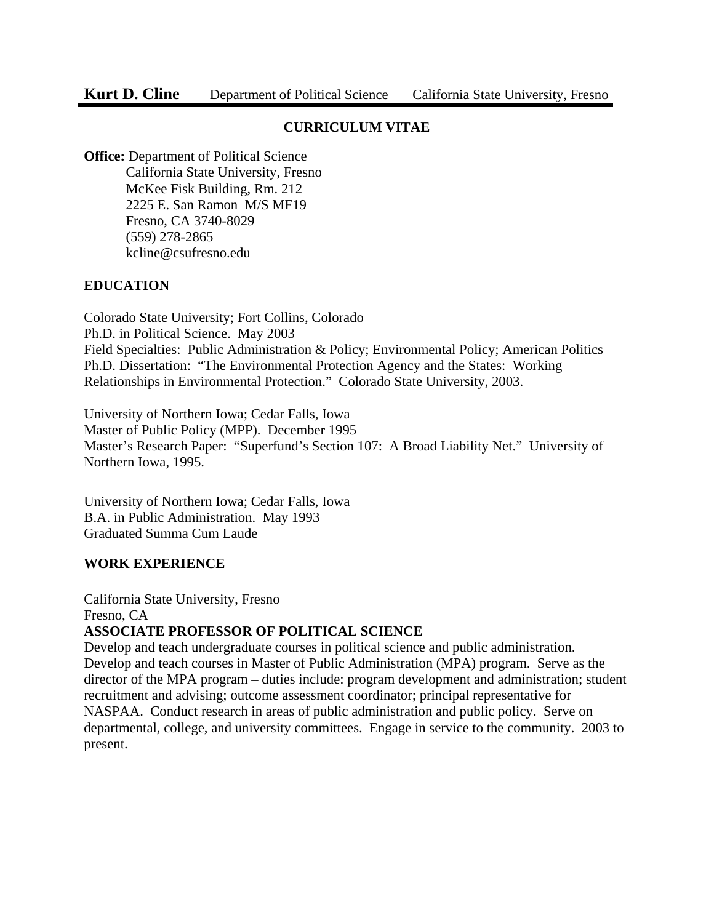# **CURRICULUM VITAE**

**Office:** Department of Political Science California State University, Fresno McKee Fisk Building, Rm. 212 2225 E. San Ramon M/S MF19 Fresno, CA 3740-8029 (559) 278-2865 kcline@csufresno.edu

# **EDUCATION**

I

Colorado State University; Fort Collins, Colorado Ph.D. in Political Science. May 2003 Field Specialties: Public Administration & Policy; Environmental Policy; American Politics Ph.D. Dissertation: "The Environmental Protection Agency and the States: Working Relationships in Environmental Protection." Colorado State University, 2003.

University of Northern Iowa; Cedar Falls, Iowa Master of Public Policy (MPP). December 1995 Master's Research Paper: "Superfund's Section 107: A Broad Liability Net." University of Northern Iowa, 1995.

University of Northern Iowa; Cedar Falls, Iowa B.A. in Public Administration. May 1993 Graduated Summa Cum Laude

#### **WORK EXPERIENCE**

California State University, Fresno Fresno, CA

# **ASSOCIATE PROFESSOR OF POLITICAL SCIENCE**

Develop and teach undergraduate courses in political science and public administration. Develop and teach courses in Master of Public Administration (MPA) program. Serve as the director of the MPA program – duties include: program development and administration; student recruitment and advising; outcome assessment coordinator; principal representative for NASPAA. Conduct research in areas of public administration and public policy. Serve on departmental, college, and university committees. Engage in service to the community. 2003 to present.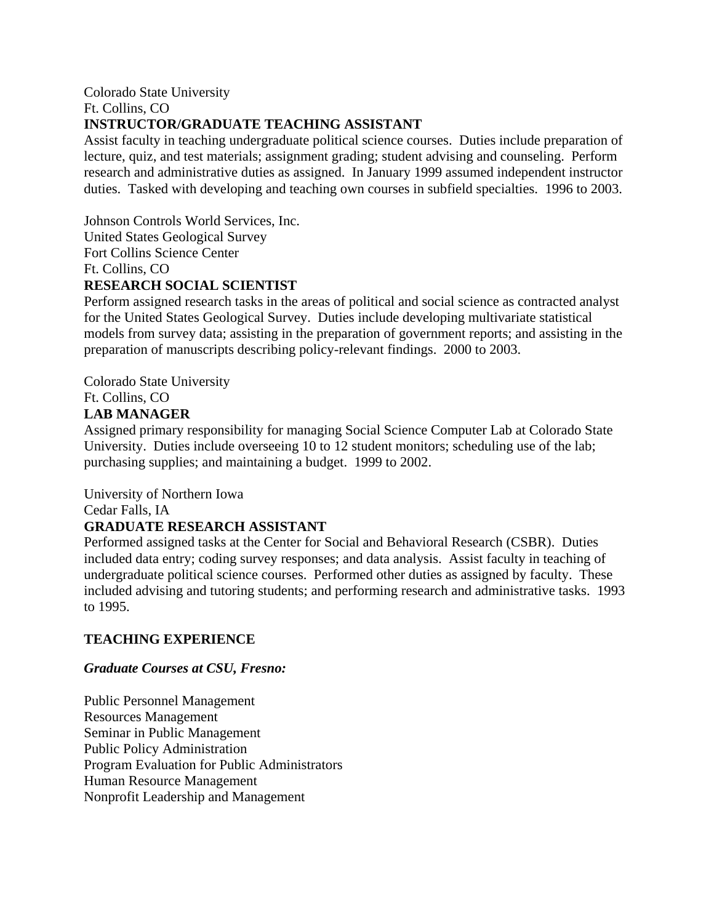Colorado State University Ft. Collins, CO

### **INSTRUCTOR/GRADUATE TEACHING ASSISTANT**

Assist faculty in teaching undergraduate political science courses. Duties include preparation of lecture, quiz, and test materials; assignment grading; student advising and counseling. Perform research and administrative duties as assigned. In January 1999 assumed independent instructor duties. Tasked with developing and teaching own courses in subfield specialties. 1996 to 2003.

Johnson Controls World Services, Inc. United States Geological Survey Fort Collins Science Center Ft. Collins, CO

# **RESEARCH SOCIAL SCIENTIST**

Perform assigned research tasks in the areas of political and social science as contracted analyst for the United States Geological Survey. Duties include developing multivariate statistical models from survey data; assisting in the preparation of government reports; and assisting in the preparation of manuscripts describing policy-relevant findings. 2000 to 2003.

Colorado State University Ft. Collins, CO **LAB MANAGER** 

Assigned primary responsibility for managing Social Science Computer Lab at Colorado State University. Duties include overseeing 10 to 12 student monitors; scheduling use of the lab; purchasing supplies; and maintaining a budget. 1999 to 2002.

University of Northern Iowa

Cedar Falls, IA

#### **GRADUATE RESEARCH ASSISTANT**

Performed assigned tasks at the Center for Social and Behavioral Research (CSBR). Duties included data entry; coding survey responses; and data analysis. Assist faculty in teaching of undergraduate political science courses. Performed other duties as assigned by faculty. These included advising and tutoring students; and performing research and administrative tasks. 1993 to 1995.

# **TEACHING EXPERIENCE**

#### *Graduate Courses at CSU, Fresno:*

Public Personnel Management Resources Management Seminar in Public Management Public Policy Administration Program Evaluation for Public Administrators Human Resource Management Nonprofit Leadership and Management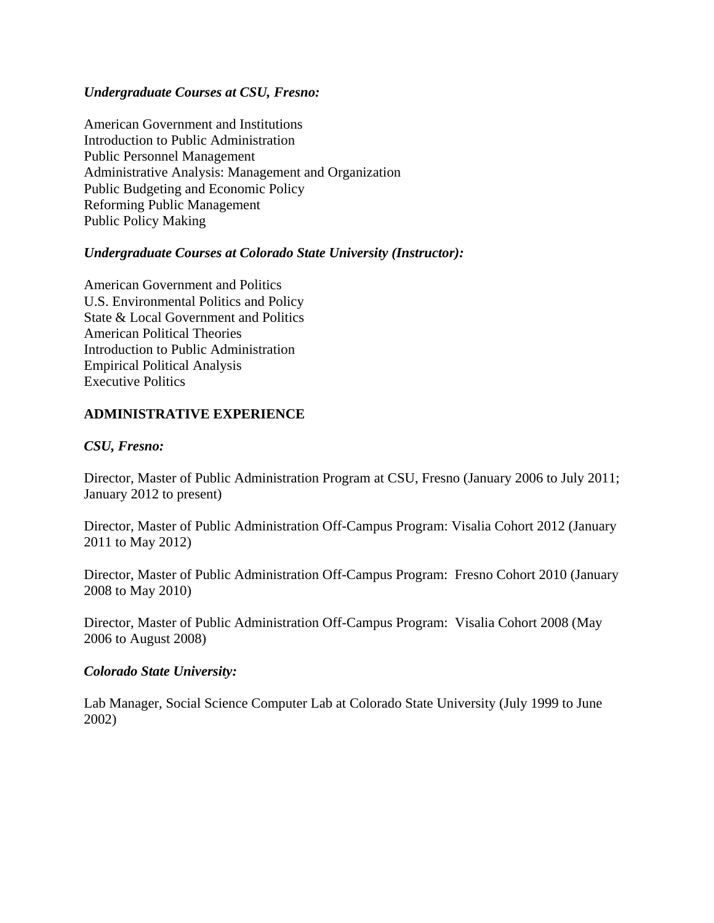### *Undergraduate Courses at CSU, Fresno:*

American Government and Institutions Introduction to Public Administration Public Personnel Management Administrative Analysis: Management and Organization Public Budgeting and Economic Policy Reforming Public Management Public Policy Making

### *Undergraduate Courses at Colorado State University (Instructor):*

American Government and Politics U.S. Environmental Politics and Policy State & Local Government and Politics American Political Theories Introduction to Public Administration Empirical Political Analysis Executive Politics

# **ADMINISTRATIVE EXPERIENCE**

#### *CSU, Fresno:*

Director, Master of Public Administration Program at CSU, Fresno (January 2006 to July 2011; January 2012 to present)

Director, Master of Public Administration Off-Campus Program: Visalia Cohort 2012 (January 2011 to May 2012)

Director, Master of Public Administration Off-Campus Program: Fresno Cohort 2010 (January 2008 to May 2010)

Director, Master of Public Administration Off-Campus Program: Visalia Cohort 2008 (May 2006 to August 2008)

#### *Colorado State University:*

Lab Manager, Social Science Computer Lab at Colorado State University (July 1999 to June 2002)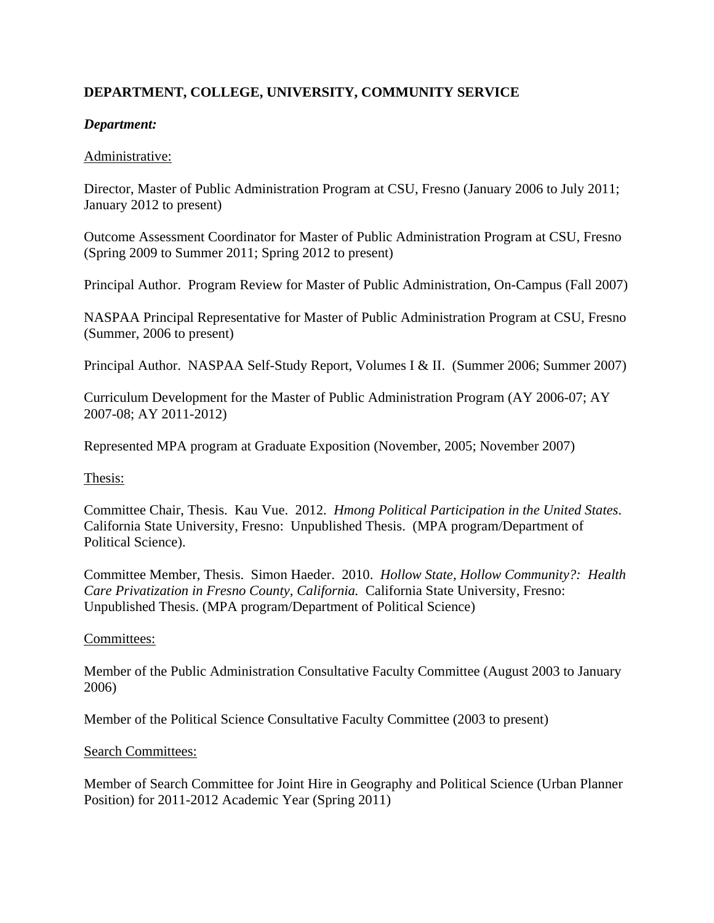# **DEPARTMENT, COLLEGE, UNIVERSITY, COMMUNITY SERVICE**

### *Department:*

#### Administrative:

Director, Master of Public Administration Program at CSU, Fresno (January 2006 to July 2011; January 2012 to present)

Outcome Assessment Coordinator for Master of Public Administration Program at CSU, Fresno (Spring 2009 to Summer 2011; Spring 2012 to present)

Principal Author. Program Review for Master of Public Administration, On-Campus (Fall 2007)

NASPAA Principal Representative for Master of Public Administration Program at CSU, Fresno (Summer, 2006 to present)

Principal Author. NASPAA Self-Study Report, Volumes I & II. (Summer 2006; Summer 2007)

Curriculum Development for the Master of Public Administration Program (AY 2006-07; AY 2007-08; AY 2011-2012)

Represented MPA program at Graduate Exposition (November, 2005; November 2007)

Thesis:

Committee Chair, Thesis. Kau Vue. 2012. *Hmong Political Participation in the United States*. California State University, Fresno: Unpublished Thesis. (MPA program/Department of Political Science).

Committee Member, Thesis. Simon Haeder. 2010. *Hollow State, Hollow Community?: Health Care Privatization in Fresno County, California.* California State University, Fresno: Unpublished Thesis. (MPA program/Department of Political Science)

#### Committees:

Member of the Public Administration Consultative Faculty Committee (August 2003 to January 2006)

Member of the Political Science Consultative Faculty Committee (2003 to present)

#### Search Committees:

Member of Search Committee for Joint Hire in Geography and Political Science (Urban Planner Position) for 2011-2012 Academic Year (Spring 2011)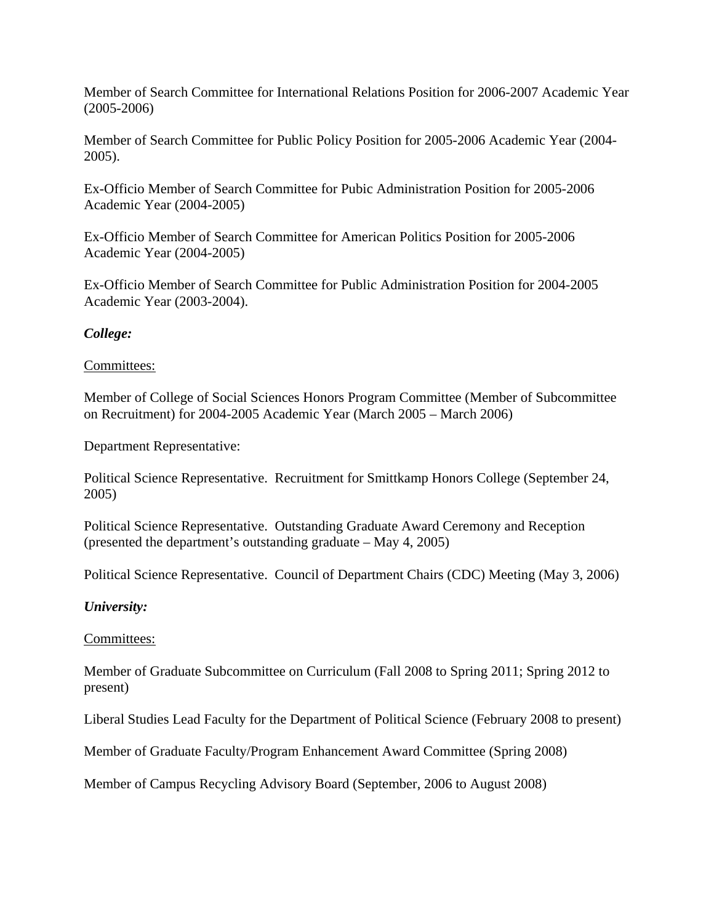Member of Search Committee for International Relations Position for 2006-2007 Academic Year (2005-2006)

Member of Search Committee for Public Policy Position for 2005-2006 Academic Year (2004- 2005).

Ex-Officio Member of Search Committee for Pubic Administration Position for 2005-2006 Academic Year (2004-2005)

Ex-Officio Member of Search Committee for American Politics Position for 2005-2006 Academic Year (2004-2005)

Ex-Officio Member of Search Committee for Public Administration Position for 2004-2005 Academic Year (2003-2004).

### *College:*

#### Committees:

Member of College of Social Sciences Honors Program Committee (Member of Subcommittee on Recruitment) for 2004-2005 Academic Year (March 2005 – March 2006)

Department Representative:

Political Science Representative. Recruitment for Smittkamp Honors College (September 24, 2005)

Political Science Representative. Outstanding Graduate Award Ceremony and Reception (presented the department's outstanding graduate – May 4, 2005)

Political Science Representative. Council of Department Chairs (CDC) Meeting (May 3, 2006)

#### *University:*

#### Committees:

Member of Graduate Subcommittee on Curriculum (Fall 2008 to Spring 2011; Spring 2012 to present)

Liberal Studies Lead Faculty for the Department of Political Science (February 2008 to present)

Member of Graduate Faculty/Program Enhancement Award Committee (Spring 2008)

Member of Campus Recycling Advisory Board (September, 2006 to August 2008)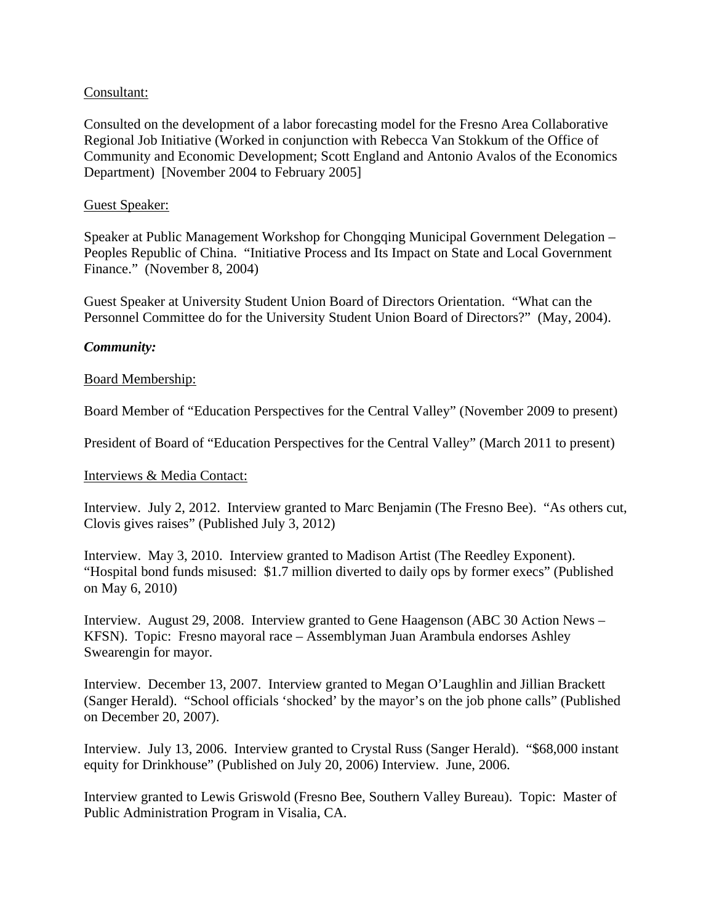### Consultant:

Consulted on the development of a labor forecasting model for the Fresno Area Collaborative Regional Job Initiative (Worked in conjunction with Rebecca Van Stokkum of the Office of Community and Economic Development; Scott England and Antonio Avalos of the Economics Department) [November 2004 to February 2005]

#### Guest Speaker:

Speaker at Public Management Workshop for Chongqing Municipal Government Delegation – Peoples Republic of China. "Initiative Process and Its Impact on State and Local Government Finance." (November 8, 2004)

Guest Speaker at University Student Union Board of Directors Orientation. "What can the Personnel Committee do for the University Student Union Board of Directors?" (May, 2004).

#### *Community:*

#### Board Membership:

Board Member of "Education Perspectives for the Central Valley" (November 2009 to present)

President of Board of "Education Perspectives for the Central Valley" (March 2011 to present)

#### Interviews & Media Contact:

Interview. July 2, 2012. Interview granted to Marc Benjamin (The Fresno Bee). "As others cut, Clovis gives raises" (Published July 3, 2012)

Interview. May 3, 2010. Interview granted to Madison Artist (The Reedley Exponent). "Hospital bond funds misused: \$1.7 million diverted to daily ops by former execs" (Published on May 6, 2010)

Interview. August 29, 2008. Interview granted to Gene Haagenson (ABC 30 Action News – KFSN). Topic: Fresno mayoral race – Assemblyman Juan Arambula endorses Ashley Swearengin for mayor.

Interview. December 13, 2007. Interview granted to Megan O'Laughlin and Jillian Brackett (Sanger Herald). "School officials 'shocked' by the mayor's on the job phone calls" (Published on December 20, 2007).

Interview. July 13, 2006. Interview granted to Crystal Russ (Sanger Herald). "\$68,000 instant equity for Drinkhouse" (Published on July 20, 2006) Interview. June, 2006.

Interview granted to Lewis Griswold (Fresno Bee, Southern Valley Bureau). Topic: Master of Public Administration Program in Visalia, CA.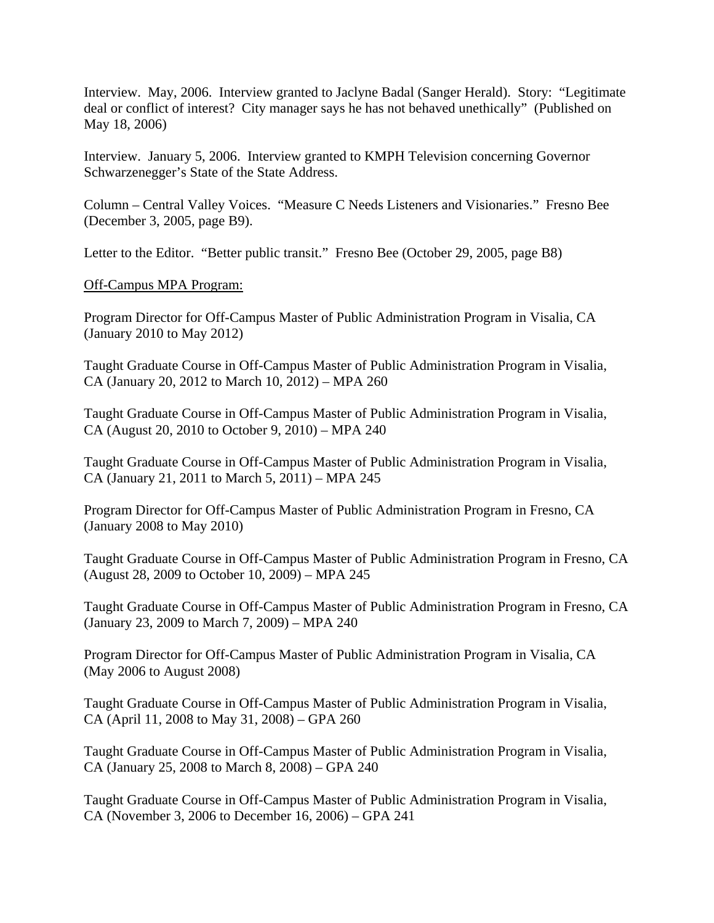Interview. May, 2006. Interview granted to Jaclyne Badal (Sanger Herald). Story: "Legitimate deal or conflict of interest? City manager says he has not behaved unethically" (Published on May 18, 2006)

Interview. January 5, 2006. Interview granted to KMPH Television concerning Governor Schwarzenegger's State of the State Address.

Column – Central Valley Voices. "Measure C Needs Listeners and Visionaries." Fresno Bee (December 3, 2005, page B9).

Letter to the Editor. "Better public transit." Fresno Bee (October 29, 2005, page B8)

#### Off-Campus MPA Program:

Program Director for Off-Campus Master of Public Administration Program in Visalia, CA (January 2010 to May 2012)

Taught Graduate Course in Off-Campus Master of Public Administration Program in Visalia, CA (January 20, 2012 to March 10, 2012) – MPA 260

Taught Graduate Course in Off-Campus Master of Public Administration Program in Visalia, CA (August 20, 2010 to October 9, 2010) – MPA 240

Taught Graduate Course in Off-Campus Master of Public Administration Program in Visalia, CA (January 21, 2011 to March 5, 2011) – MPA 245

Program Director for Off-Campus Master of Public Administration Program in Fresno, CA (January 2008 to May 2010)

Taught Graduate Course in Off-Campus Master of Public Administration Program in Fresno, CA (August 28, 2009 to October 10, 2009) – MPA 245

Taught Graduate Course in Off-Campus Master of Public Administration Program in Fresno, CA (January 23, 2009 to March 7, 2009) – MPA 240

Program Director for Off-Campus Master of Public Administration Program in Visalia, CA (May 2006 to August 2008)

Taught Graduate Course in Off-Campus Master of Public Administration Program in Visalia, CA (April 11, 2008 to May 31, 2008) – GPA 260

Taught Graduate Course in Off-Campus Master of Public Administration Program in Visalia, CA (January 25, 2008 to March 8, 2008) – GPA 240

Taught Graduate Course in Off-Campus Master of Public Administration Program in Visalia, CA (November 3, 2006 to December 16, 2006) – GPA 241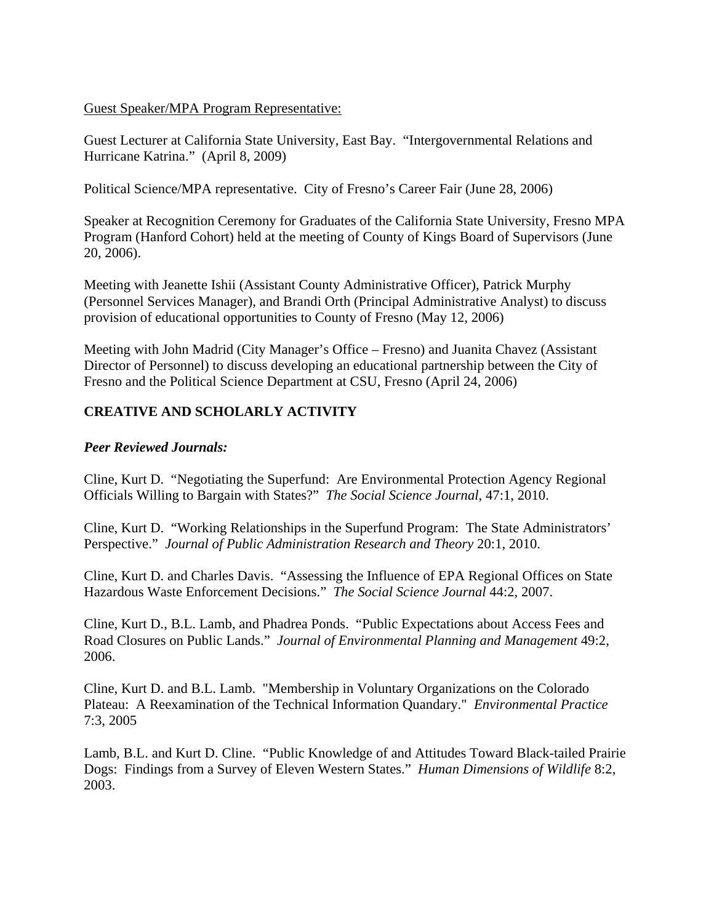Guest Speaker/MPA Program Representative:

Guest Lecturer at California State University, East Bay. "Intergovernmental Relations and Hurricane Katrina." (April 8, 2009)

Political Science/MPA representative. City of Fresno's Career Fair (June 28, 2006)

Speaker at Recognition Ceremony for Graduates of the California State University, Fresno MPA Program (Hanford Cohort) held at the meeting of County of Kings Board of Supervisors (June 20, 2006).

Meeting with Jeanette Ishii (Assistant County Administrative Officer), Patrick Murphy (Personnel Services Manager), and Brandi Orth (Principal Administrative Analyst) to discuss provision of educational opportunities to County of Fresno (May 12, 2006)

Meeting with John Madrid (City Manager's Office – Fresno) and Juanita Chavez (Assistant Director of Personnel) to discuss developing an educational partnership between the City of Fresno and the Political Science Department at CSU, Fresno (April 24, 2006)

# **CREATIVE AND SCHOLARLY ACTIVITY**

#### *Peer Reviewed Journals:*

Cline, Kurt D. "Negotiating the Superfund: Are Environmental Protection Agency Regional Officials Willing to Bargain with States?" *The Social Science Journal*, 47:1, 2010.

Cline, Kurt D. "Working Relationships in the Superfund Program: The State Administrators' Perspective." *Journal of Public Administration Research and Theory* 20:1, 2010.

Cline, Kurt D. and Charles Davis. "Assessing the Influence of EPA Regional Offices on State Hazardous Waste Enforcement Decisions." *The Social Science Journal* 44:2, 2007.

Cline, Kurt D., B.L. Lamb, and Phadrea Ponds. "Public Expectations about Access Fees and Road Closures on Public Lands." *Journal of Environmental Planning and Management* 49:2, 2006.

Cline, Kurt D. and B.L. Lamb. "Membership in Voluntary Organizations on the Colorado Plateau: A Reexamination of the Technical Information Quandary." *Environmental Practice* 7:3, 2005

Lamb, B.L. and Kurt D. Cline. "Public Knowledge of and Attitudes Toward Black-tailed Prairie Dogs: Findings from a Survey of Eleven Western States." *Human Dimensions of Wildlife* 8:2, 2003.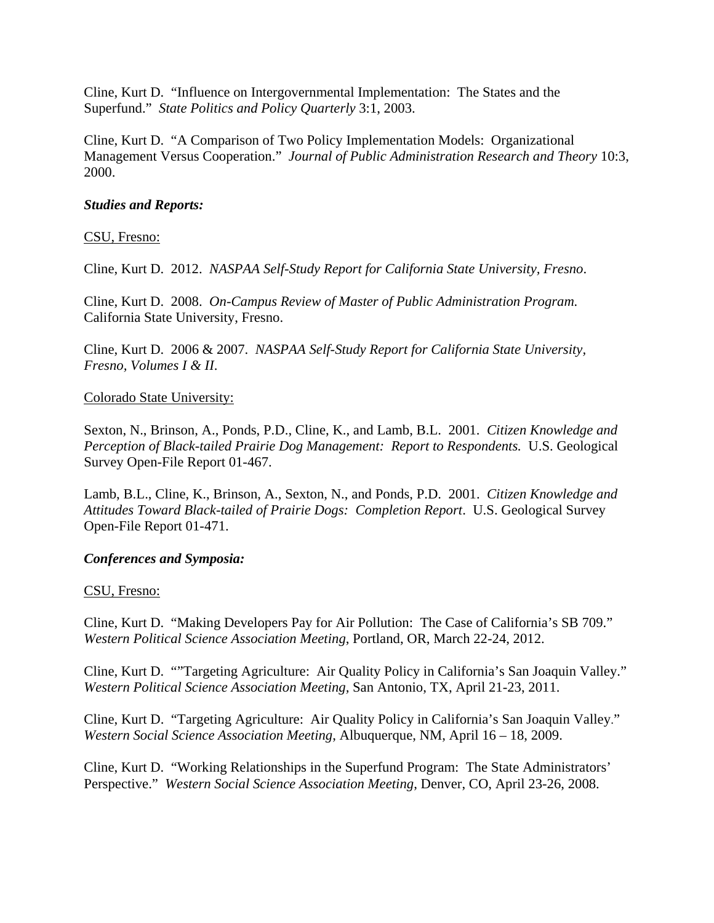Cline, Kurt D. "Influence on Intergovernmental Implementation: The States and the Superfund." *State Politics and Policy Quarterly* 3:1, 2003.

Cline, Kurt D. "A Comparison of Two Policy Implementation Models: Organizational Management Versus Cooperation." *Journal of Public Administration Research and Theory* 10:3, 2000.

### *Studies and Reports:*

### CSU, Fresno:

Cline, Kurt D. 2012. *NASPAA Self-Study Report for California State University, Fresno*.

Cline, Kurt D. 2008. *On-Campus Review of Master of Public Administration Program.*  California State University, Fresno.

Cline, Kurt D. 2006 & 2007. *NASPAA Self-Study Report for California State University, Fresno, Volumes I & II*.

#### Colorado State University:

Sexton, N., Brinson, A., Ponds, P.D., Cline, K., and Lamb, B.L. 2001. *Citizen Knowledge and Perception of Black-tailed Prairie Dog Management: Report to Respondents.* U.S. Geological Survey Open-File Report 01-467.

Lamb, B.L., Cline, K., Brinson, A., Sexton, N., and Ponds, P.D. 2001. *Citizen Knowledge and Attitudes Toward Black-tailed of Prairie Dogs: Completion Report*. U.S. Geological Survey Open-File Report 01-471.

#### *Conferences and Symposia:*

#### CSU, Fresno:

Cline, Kurt D. "Making Developers Pay for Air Pollution: The Case of California's SB 709." *Western Political Science Association Meeting*, Portland, OR, March 22-24, 2012.

Cline, Kurt D. ""Targeting Agriculture: Air Quality Policy in California's San Joaquin Valley." *Western Political Science Association Meeting,* San Antonio, TX, April 21-23, 2011.

Cline, Kurt D. "Targeting Agriculture: Air Quality Policy in California's San Joaquin Valley." *Western Social Science Association Meeting*, Albuquerque, NM, April 16 – 18, 2009.

Cline, Kurt D. "Working Relationships in the Superfund Program: The State Administrators' Perspective." *Western Social Science Association Meeting*, Denver, CO, April 23-26, 2008.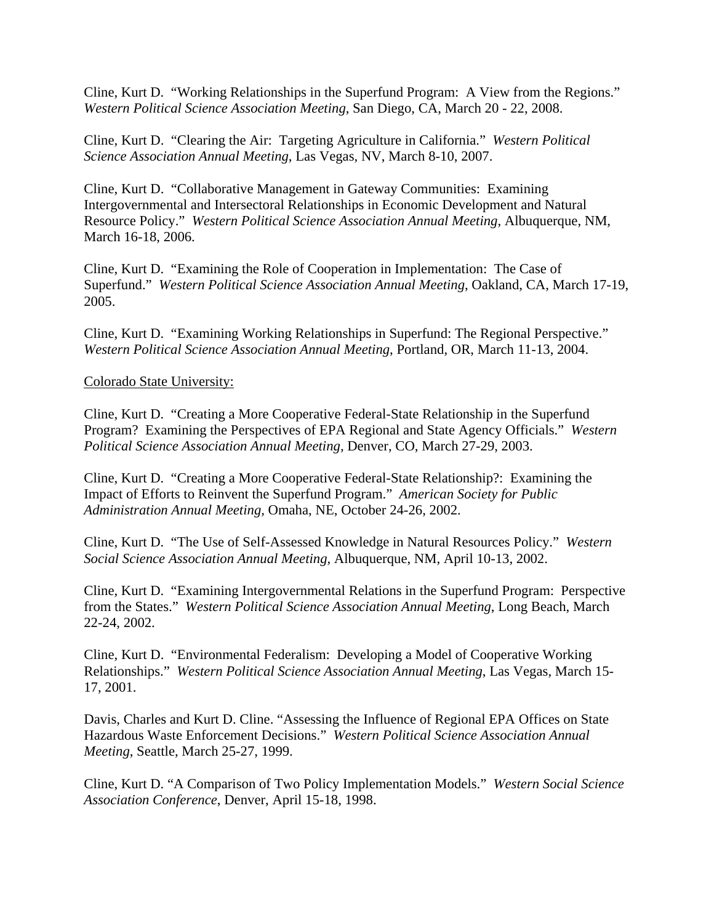Cline, Kurt D. "Working Relationships in the Superfund Program: A View from the Regions." *Western Political Science Association Meeting*, San Diego, CA, March 20 - 22, 2008.

Cline, Kurt D. "Clearing the Air: Targeting Agriculture in California." *Western Political Science Association Annual Meeting*, Las Vegas, NV, March 8-10, 2007.

Cline, Kurt D. "Collaborative Management in Gateway Communities: Examining Intergovernmental and Intersectoral Relationships in Economic Development and Natural Resource Policy." *Western Political Science Association Annual Meeting*, Albuquerque, NM, March 16-18, 2006.

Cline, Kurt D. "Examining the Role of Cooperation in Implementation: The Case of Superfund." *Western Political Science Association Annual Meeting*, Oakland, CA, March 17-19, 2005.

Cline, Kurt D. "Examining Working Relationships in Superfund: The Regional Perspective." *Western Political Science Association Annual Meeting*, Portland, OR, March 11-13, 2004.

#### Colorado State University:

Cline, Kurt D. "Creating a More Cooperative Federal-State Relationship in the Superfund Program? Examining the Perspectives of EPA Regional and State Agency Officials." *Western Political Science Association Annual Meeting,* Denver, CO, March 27-29, 2003.

Cline, Kurt D. "Creating a More Cooperative Federal-State Relationship?: Examining the Impact of Efforts to Reinvent the Superfund Program." *American Society for Public Administration Annual Meeting,* Omaha, NE, October 24-26, 2002.

Cline, Kurt D. "The Use of Self-Assessed Knowledge in Natural Resources Policy." *Western Social Science Association Annual Meeting,* Albuquerque, NM, April 10-13, 2002.

Cline, Kurt D. "Examining Intergovernmental Relations in the Superfund Program: Perspective from the States." *Western Political Science Association Annual Meeting*, Long Beach, March 22-24, 2002.

Cline, Kurt D. "Environmental Federalism: Developing a Model of Cooperative Working Relationships." *Western Political Science Association Annual Meeting*, Las Vegas, March 15- 17, 2001.

Davis, Charles and Kurt D. Cline. "Assessing the Influence of Regional EPA Offices on State Hazardous Waste Enforcement Decisions." *Western Political Science Association Annual Meeting*, Seattle, March 25-27, 1999.

Cline, Kurt D. "A Comparison of Two Policy Implementation Models." *Western Social Science Association Conference*, Denver, April 15-18, 1998.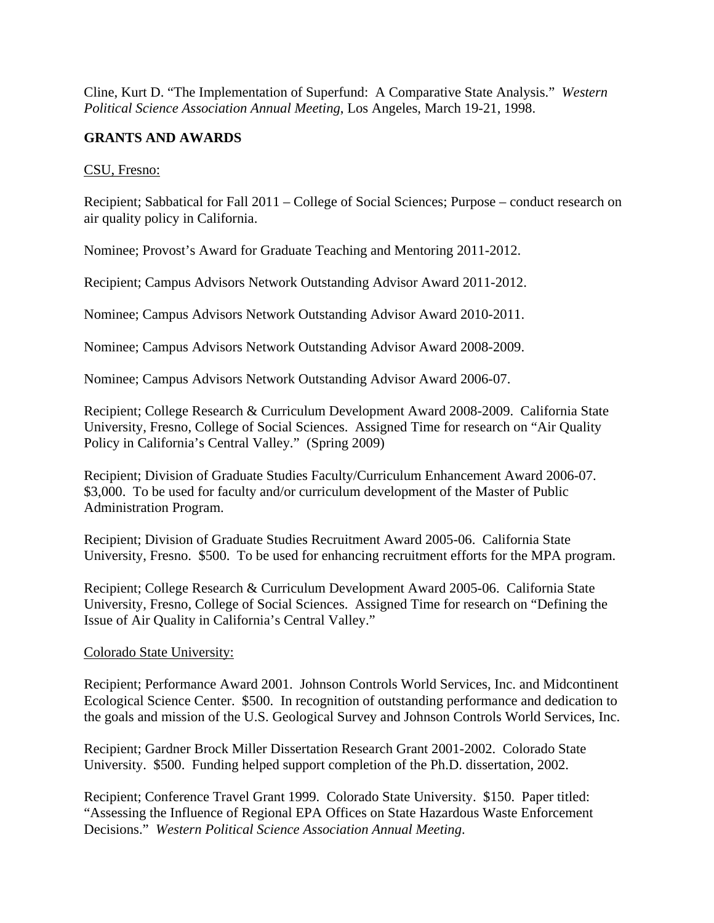Cline, Kurt D. "The Implementation of Superfund: A Comparative State Analysis." *Western Political Science Association Annual Meeting*, Los Angeles, March 19-21, 1998.

# **GRANTS AND AWARDS**

CSU, Fresno:

Recipient; Sabbatical for Fall 2011 – College of Social Sciences; Purpose – conduct research on air quality policy in California.

Nominee; Provost's Award for Graduate Teaching and Mentoring 2011-2012.

Recipient; Campus Advisors Network Outstanding Advisor Award 2011-2012.

Nominee; Campus Advisors Network Outstanding Advisor Award 2010-2011.

Nominee; Campus Advisors Network Outstanding Advisor Award 2008-2009.

Nominee; Campus Advisors Network Outstanding Advisor Award 2006-07.

Recipient; College Research & Curriculum Development Award 2008-2009. California State University, Fresno, College of Social Sciences. Assigned Time for research on "Air Quality Policy in California's Central Valley." (Spring 2009)

Recipient; Division of Graduate Studies Faculty/Curriculum Enhancement Award 2006-07. \$3,000. To be used for faculty and/or curriculum development of the Master of Public Administration Program.

Recipient; Division of Graduate Studies Recruitment Award 2005-06. California State University, Fresno. \$500. To be used for enhancing recruitment efforts for the MPA program.

Recipient; College Research & Curriculum Development Award 2005-06. California State University, Fresno, College of Social Sciences. Assigned Time for research on "Defining the Issue of Air Quality in California's Central Valley."

#### Colorado State University:

Recipient; Performance Award 2001. Johnson Controls World Services, Inc. and Midcontinent Ecological Science Center. \$500. In recognition of outstanding performance and dedication to the goals and mission of the U.S. Geological Survey and Johnson Controls World Services, Inc.

Recipient; Gardner Brock Miller Dissertation Research Grant 2001-2002. Colorado State University. \$500. Funding helped support completion of the Ph.D. dissertation, 2002.

Recipient; Conference Travel Grant 1999. Colorado State University. \$150. Paper titled: "Assessing the Influence of Regional EPA Offices on State Hazardous Waste Enforcement Decisions." *Western Political Science Association Annual Meeting*.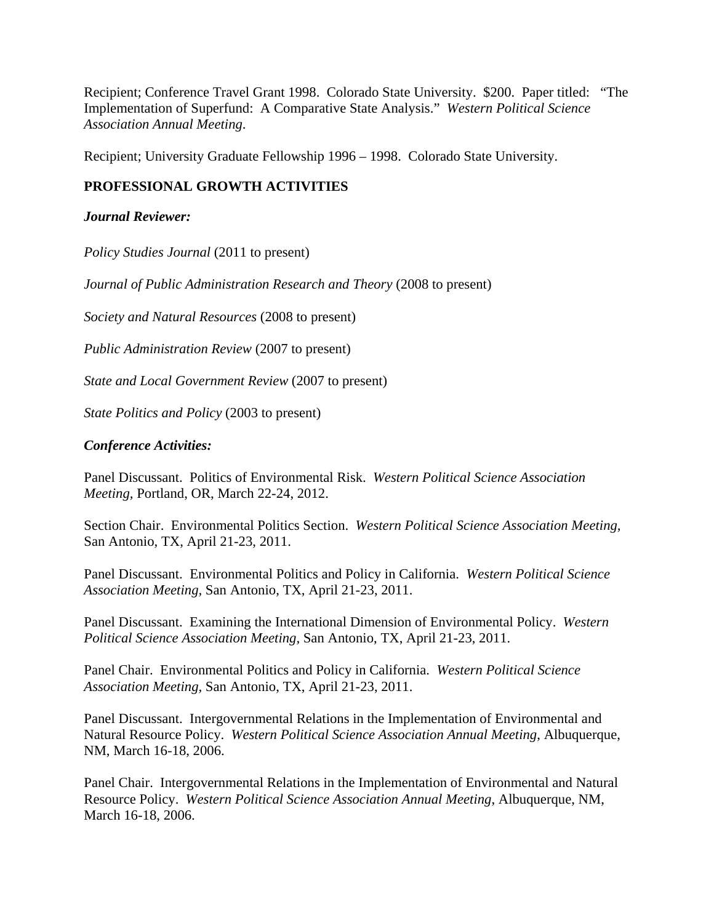Recipient; Conference Travel Grant 1998. Colorado State University. \$200. Paper titled: "The Implementation of Superfund: A Comparative State Analysis." *Western Political Science Association Annual Meeting*.

Recipient; University Graduate Fellowship 1996 – 1998. Colorado State University.

# **PROFESSIONAL GROWTH ACTIVITIES**

### *Journal Reviewer:*

*Policy Studies Journal* (2011 to present)

*Journal of Public Administration Research and Theory* (2008 to present)

*Society and Natural Resources* (2008 to present)

*Public Administration Review* (2007 to present)

*State and Local Government Review* (2007 to present)

*State Politics and Policy* (2003 to present)

### *Conference Activities:*

Panel Discussant. Politics of Environmental Risk. *Western Political Science Association Meeting,* Portland, OR, March 22-24, 2012.

Section Chair. Environmental Politics Section. *Western Political Science Association Meeting,*  San Antonio, TX, April 21-23, 2011.

Panel Discussant. Environmental Politics and Policy in California. *Western Political Science Association Meeting,* San Antonio, TX, April 21-23, 2011.

Panel Discussant. Examining the International Dimension of Environmental Policy. *Western Political Science Association Meeting,* San Antonio, TX, April 21-23, 2011.

Panel Chair. Environmental Politics and Policy in California. *Western Political Science Association Meeting,* San Antonio, TX, April 21-23, 2011.

Panel Discussant. Intergovernmental Relations in the Implementation of Environmental and Natural Resource Policy. *Western Political Science Association Annual Meeting*, Albuquerque, NM, March 16-18, 2006.

Panel Chair. Intergovernmental Relations in the Implementation of Environmental and Natural Resource Policy. *Western Political Science Association Annual Meeting*, Albuquerque, NM, March 16-18, 2006.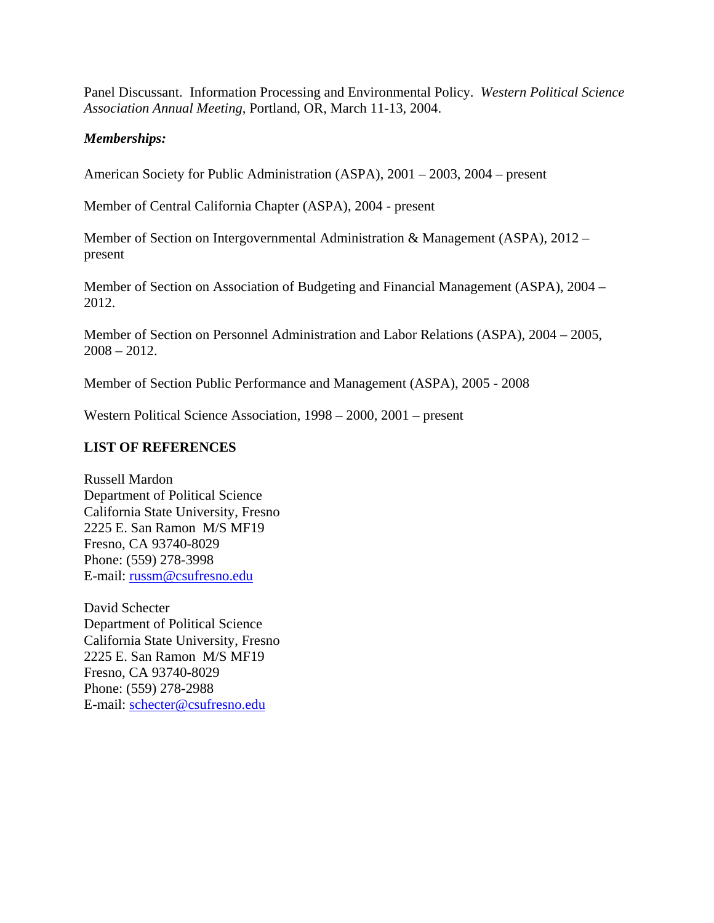Panel Discussant. Information Processing and Environmental Policy. *Western Political Science Association Annual Meeting*, Portland, OR, March 11-13, 2004.

### *Memberships:*

American Society for Public Administration (ASPA), 2001 – 2003, 2004 – present

Member of Central California Chapter (ASPA), 2004 - present

Member of Section on Intergovernmental Administration & Management (ASPA), 2012 – present

Member of Section on Association of Budgeting and Financial Management (ASPA), 2004 – 2012.

Member of Section on Personnel Administration and Labor Relations (ASPA), 2004 – 2005,  $2008 - 2012$ .

Member of Section Public Performance and Management (ASPA), 2005 - 2008

Western Political Science Association, 1998 – 2000, 2001 – present

#### **LIST OF REFERENCES**

Russell Mardon Department of Political Science California State University, Fresno 2225 E. San Ramon M/S MF19 Fresno, CA 93740-8029 Phone: (559) 278-3998 E-mail: russm@csufresno.edu

David Schecter Department of Political Science California State University, Fresno 2225 E. San Ramon M/S MF19 Fresno, CA 93740-8029 Phone: (559) 278-2988 E-mail: schecter@csufresno.edu